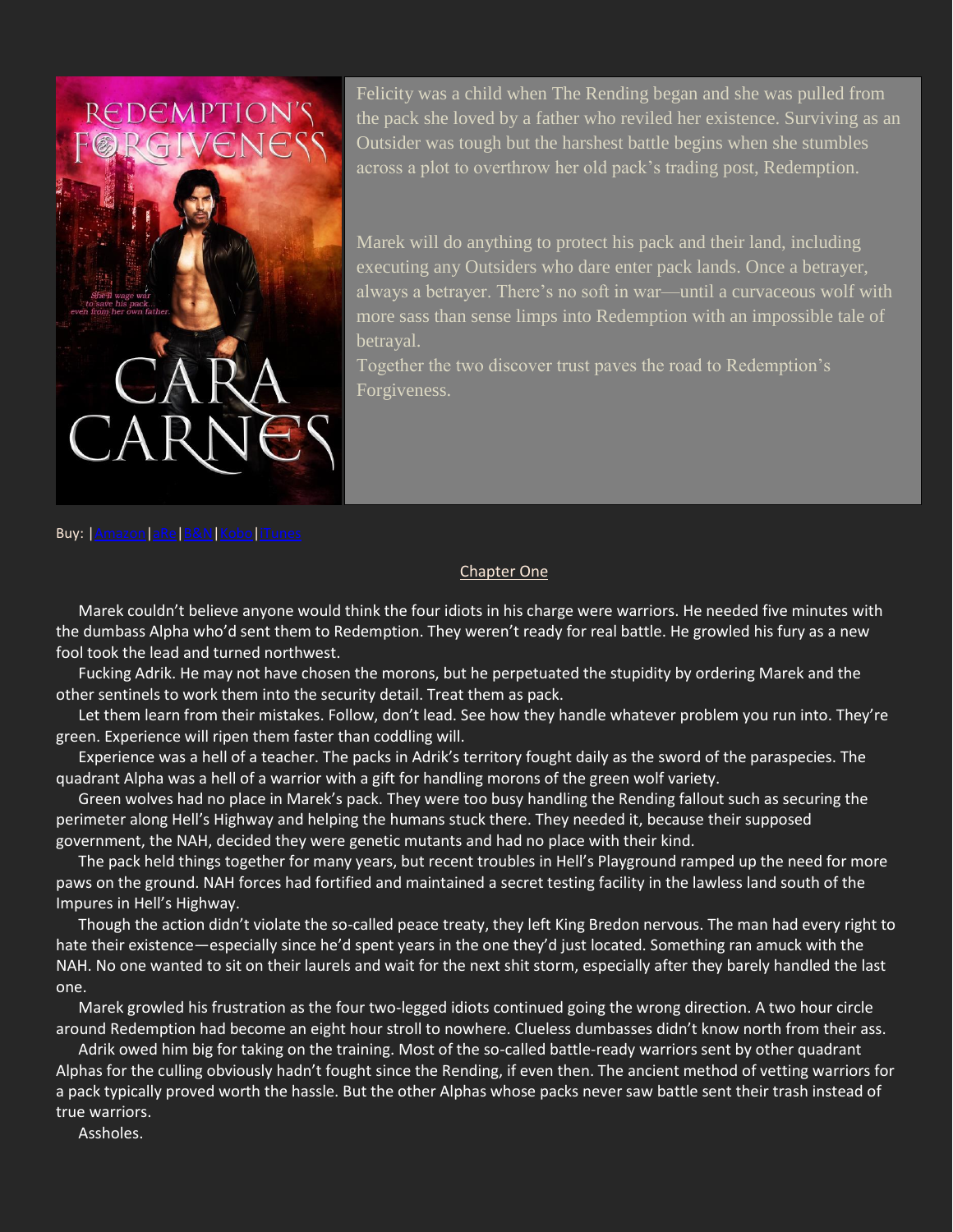

Felicity was a child when The Rending began and she was pulled from the pack she loved by a father who reviled her existence. Surviving as an Outsider was tough but the harshest battle begins when she stumbles across a plot to overthrow her old pack's trading post, Redemption.

Marek will do anything to protect his pack and their land, including executing any Outsiders who dare enter pack lands. Once a betrayer, always a betrayer. There's no soft in war—until a curvaceous wolf with more sass than sense limps into Redemption with an impossible tale of betrayal.

Together the two discover trust paves the road to Redemption's Forgiveness.

## Buy: [|Amazon](http://amzn.to/1RrOzhr)[|aRe|](http://bit.ly/RedFor)[B&N](http://bit.ly/RedForBN)[|Kobo|](http://bit.ly/RedForKo)[iTunes](http://bit.ly/RedForIT)

## Chapter One

Marek couldn't believe anyone would think the four idiots in his charge were warriors. He needed five minutes with the dumbass Alpha who'd sent them to Redemption. They weren't ready for real battle. He growled his fury as a new fool took the lead and turned northwest.

Fucking Adrik. He may not have chosen the morons, but he perpetuated the stupidity by ordering Marek and the other sentinels to work them into the security detail. Treat them as pack.

Let them learn from their mistakes. Follow, don't lead. See how they handle whatever problem you run into. They're green. Experience will ripen them faster than coddling will.

Experience was a hell of a teacher. The packs in Adrik's territory fought daily as the sword of the paraspecies. The quadrant Alpha was a hell of a warrior with a gift for handling morons of the green wolf variety.

Green wolves had no place in Marek's pack. They were too busy handling the Rending fallout such as securing the perimeter along Hell's Highway and helping the humans stuck there. They needed it, because their supposed government, the NAH, decided they were genetic mutants and had no place with their kind.

The pack held things together for many years, but recent troubles in Hell's Playground ramped up the need for more paws on the ground. NAH forces had fortified and maintained a secret testing facility in the lawless land south of the Impures in Hell's Highway.

Though the action didn't violate the so-called peace treaty, they left King Bredon nervous. The man had every right to hate their existence—especially since he'd spent years in the one they'd just located. Something ran amuck with the NAH. No one wanted to sit on their laurels and wait for the next shit storm, especially after they barely handled the last one.

Marek growled his frustration as the four two-legged idiots continued going the wrong direction. A two hour circle around Redemption had become an eight hour stroll to nowhere. Clueless dumbasses didn't know north from their ass.

Adrik owed him big for taking on the training. Most of the so-called battle-ready warriors sent by other quadrant Alphas for the culling obviously hadn't fought since the Rending, if even then. The ancient method of vetting warriors for a pack typically proved worth the hassle. But the other Alphas whose packs never saw battle sent their trash instead of true warriors.

Assholes.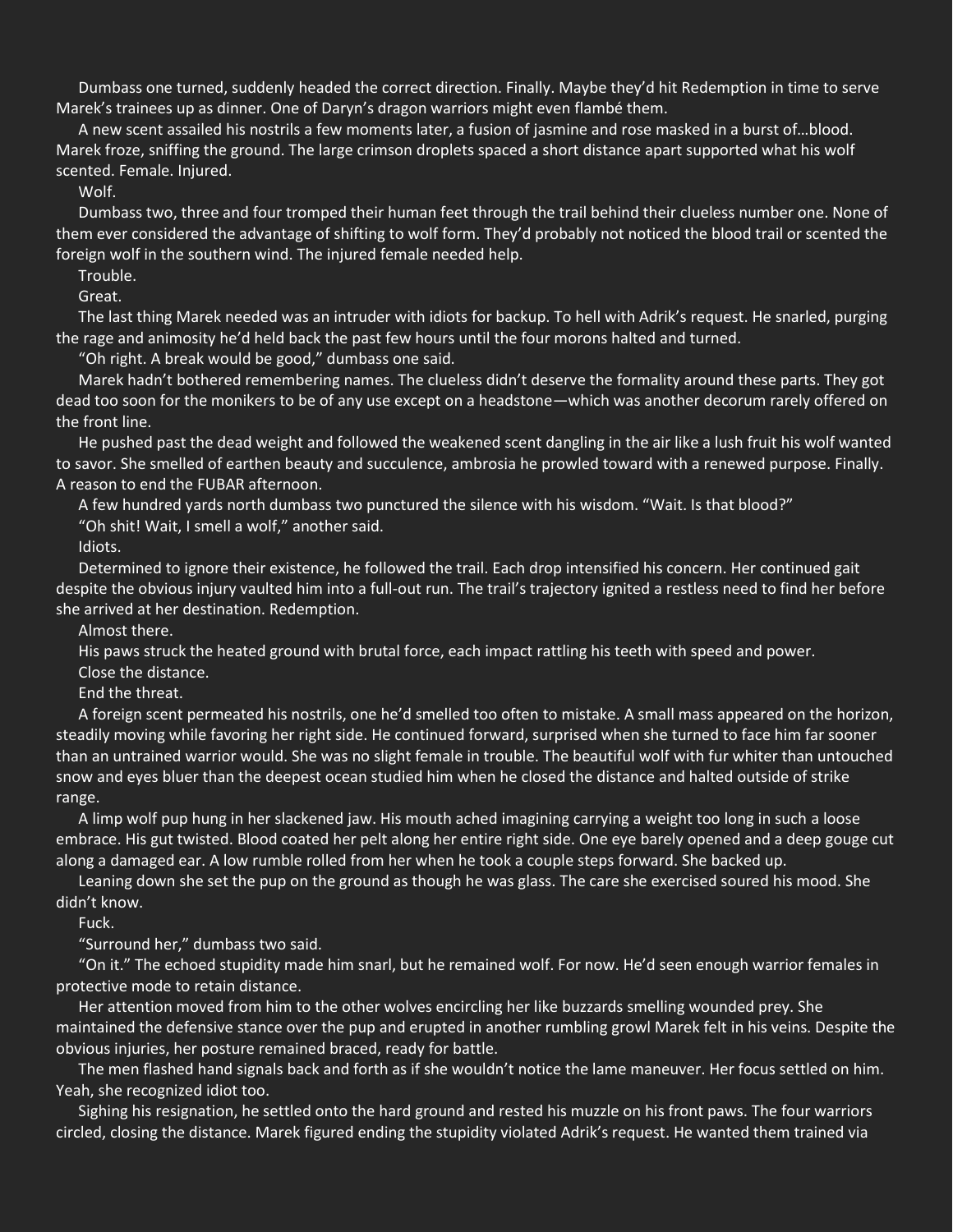Dumbass one turned, suddenly headed the correct direction. Finally. Maybe they'd hit Redemption in time to serve Marek's trainees up as dinner. One of Daryn's dragon warriors might even flambé them.

A new scent assailed his nostrils a few moments later, a fusion of jasmine and rose masked in a burst of…blood. Marek froze, sniffing the ground. The large crimson droplets spaced a short distance apart supported what his wolf scented. Female. Injured.

Wolf.

Dumbass two, three and four tromped their human feet through the trail behind their clueless number one. None of them ever considered the advantage of shifting to wolf form. They'd probably not noticed the blood trail or scented the foreign wolf in the southern wind. The injured female needed help.

Trouble.

Great.

The last thing Marek needed was an intruder with idiots for backup. To hell with Adrik's request. He snarled, purging the rage and animosity he'd held back the past few hours until the four morons halted and turned.

"Oh right. A break would be good," dumbass one said.

Marek hadn't bothered remembering names. The clueless didn't deserve the formality around these parts. They got dead too soon for the monikers to be of any use except on a headstone—which was another decorum rarely offered on the front line.

He pushed past the dead weight and followed the weakened scent dangling in the air like a lush fruit his wolf wanted to savor. She smelled of earthen beauty and succulence, ambrosia he prowled toward with a renewed purpose. Finally. A reason to end the FUBAR afternoon.

A few hundred yards north dumbass two punctured the silence with his wisdom. "Wait. Is that blood?" "Oh shit! Wait, I smell a wolf," another said.

Idiots.

Determined to ignore their existence, he followed the trail. Each drop intensified his concern. Her continued gait despite the obvious injury vaulted him into a full-out run. The trail's trajectory ignited a restless need to find her before she arrived at her destination. Redemption.

Almost there.

His paws struck the heated ground with brutal force, each impact rattling his teeth with speed and power.

Close the distance.

End the threat.

A foreign scent permeated his nostrils, one he'd smelled too often to mistake. A small mass appeared on the horizon, steadily moving while favoring her right side. He continued forward, surprised when she turned to face him far sooner than an untrained warrior would. She was no slight female in trouble. The beautiful wolf with fur whiter than untouched snow and eyes bluer than the deepest ocean studied him when he closed the distance and halted outside of strike range.

A limp wolf pup hung in her slackened jaw. His mouth ached imagining carrying a weight too long in such a loose embrace. His gut twisted. Blood coated her pelt along her entire right side. One eye barely opened and a deep gouge cut along a damaged ear. A low rumble rolled from her when he took a couple steps forward. She backed up.

Leaning down she set the pup on the ground as though he was glass. The care she exercised soured his mood. She didn't know.

Fuck.

"Surround her," dumbass two said.

"On it." The echoed stupidity made him snarl, but he remained wolf. For now. He'd seen enough warrior females in protective mode to retain distance.

Her attention moved from him to the other wolves encircling her like buzzards smelling wounded prey. She maintained the defensive stance over the pup and erupted in another rumbling growl Marek felt in his veins. Despite the obvious injuries, her posture remained braced, ready for battle.

The men flashed hand signals back and forth as if she wouldn't notice the lame maneuver. Her focus settled on him. Yeah, she recognized idiot too.

Sighing his resignation, he settled onto the hard ground and rested his muzzle on his front paws. The four warriors circled, closing the distance. Marek figured ending the stupidity violated Adrik's request. He wanted them trained via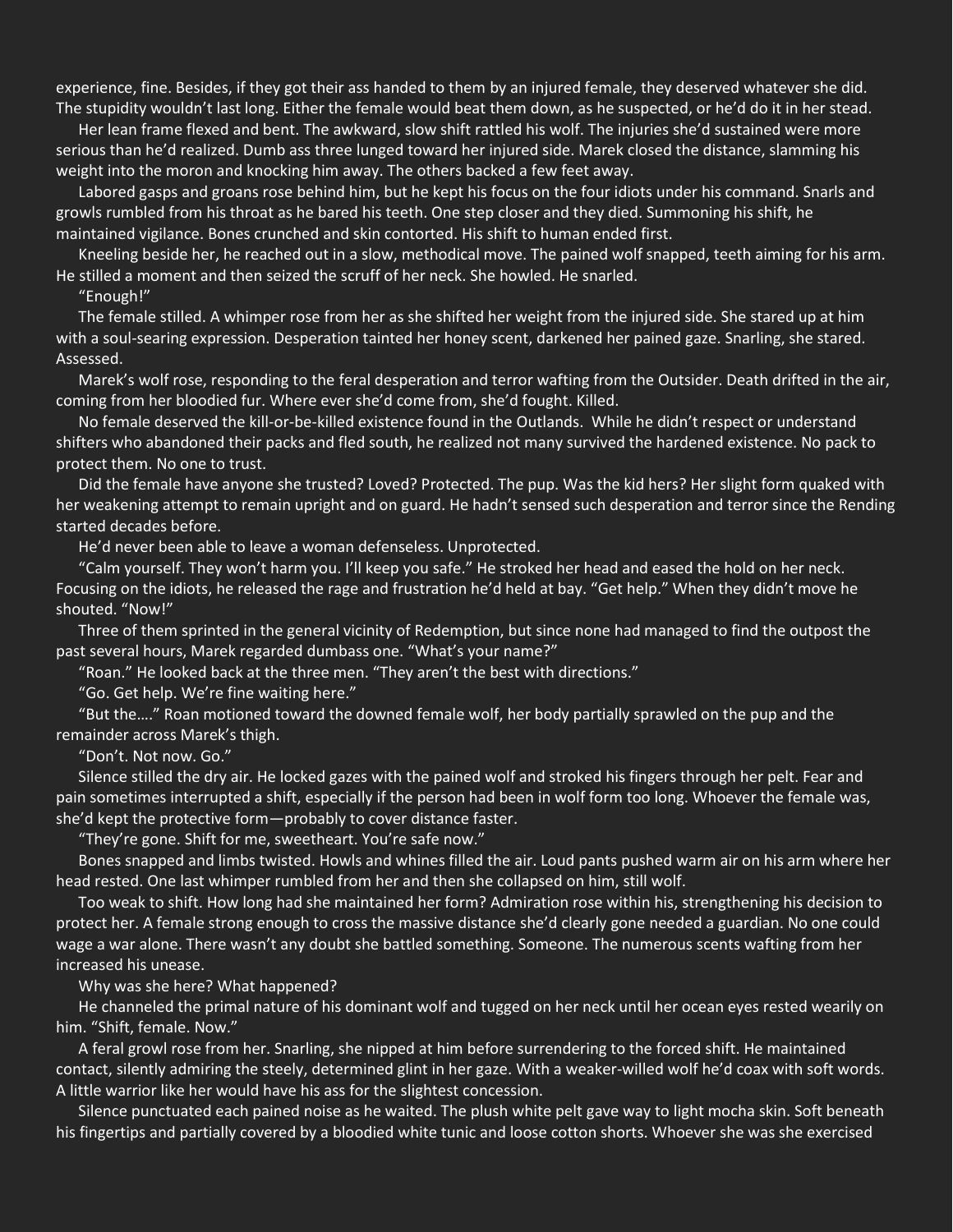experience, fine. Besides, if they got their ass handed to them by an injured female, they deserved whatever she did. The stupidity wouldn't last long. Either the female would beat them down, as he suspected, or he'd do it in her stead.

Her lean frame flexed and bent. The awkward, slow shift rattled his wolf. The injuries she'd sustained were more serious than he'd realized. Dumb ass three lunged toward her injured side. Marek closed the distance, slamming his weight into the moron and knocking him away. The others backed a few feet away.

Labored gasps and groans rose behind him, but he kept his focus on the four idiots under his command. Snarls and growls rumbled from his throat as he bared his teeth. One step closer and they died. Summoning his shift, he maintained vigilance. Bones crunched and skin contorted. His shift to human ended first.

Kneeling beside her, he reached out in a slow, methodical move. The pained wolf snapped, teeth aiming for his arm. He stilled a moment and then seized the scruff of her neck. She howled. He snarled.

"Enough!"

The female stilled. A whimper rose from her as she shifted her weight from the injured side. She stared up at him with a soul-searing expression. Desperation tainted her honey scent, darkened her pained gaze. Snarling, she stared. Assessed.

Marek's wolf rose, responding to the feral desperation and terror wafting from the Outsider. Death drifted in the air, coming from her bloodied fur. Where ever she'd come from, she'd fought. Killed.

No female deserved the kill-or-be-killed existence found in the Outlands. While he didn't respect or understand shifters who abandoned their packs and fled south, he realized not many survived the hardened existence. No pack to protect them. No one to trust.

Did the female have anyone she trusted? Loved? Protected. The pup. Was the kid hers? Her slight form quaked with her weakening attempt to remain upright and on guard. He hadn't sensed such desperation and terror since the Rending started decades before.

He'd never been able to leave a woman defenseless. Unprotected.

"Calm yourself. They won't harm you. I'll keep you safe." He stroked her head and eased the hold on her neck. Focusing on the idiots, he released the rage and frustration he'd held at bay. "Get help." When they didn't move he shouted. "Now!"

Three of them sprinted in the general vicinity of Redemption, but since none had managed to find the outpost the past several hours, Marek regarded dumbass one. "What's your name?"

"Roan." He looked back at the three men. "They aren't the best with directions."

"Go. Get help. We're fine waiting here."

"But the…." Roan motioned toward the downed female wolf, her body partially sprawled on the pup and the remainder across Marek's thigh.

"Don't. Not now. Go."

Silence stilled the dry air. He locked gazes with the pained wolf and stroked his fingers through her pelt. Fear and pain sometimes interrupted a shift, especially if the person had been in wolf form too long. Whoever the female was, she'd kept the protective form—probably to cover distance faster.

"They're gone. Shift for me, sweetheart. You're safe now."

Bones snapped and limbs twisted. Howls and whines filled the air. Loud pants pushed warm air on his arm where her head rested. One last whimper rumbled from her and then she collapsed on him, still wolf.

Too weak to shift. How long had she maintained her form? Admiration rose within his, strengthening his decision to protect her. A female strong enough to cross the massive distance she'd clearly gone needed a guardian. No one could wage a war alone. There wasn't any doubt she battled something. Someone. The numerous scents wafting from her increased his unease.

Why was she here? What happened?

He channeled the primal nature of his dominant wolf and tugged on her neck until her ocean eyes rested wearily on him. "Shift, female. Now."

A feral growl rose from her. Snarling, she nipped at him before surrendering to the forced shift. He maintained contact, silently admiring the steely, determined glint in her gaze. With a weaker-willed wolf he'd coax with soft words. A little warrior like her would have his ass for the slightest concession.

Silence punctuated each pained noise as he waited. The plush white pelt gave way to light mocha skin. Soft beneath his fingertips and partially covered by a bloodied white tunic and loose cotton shorts. Whoever she was she exercised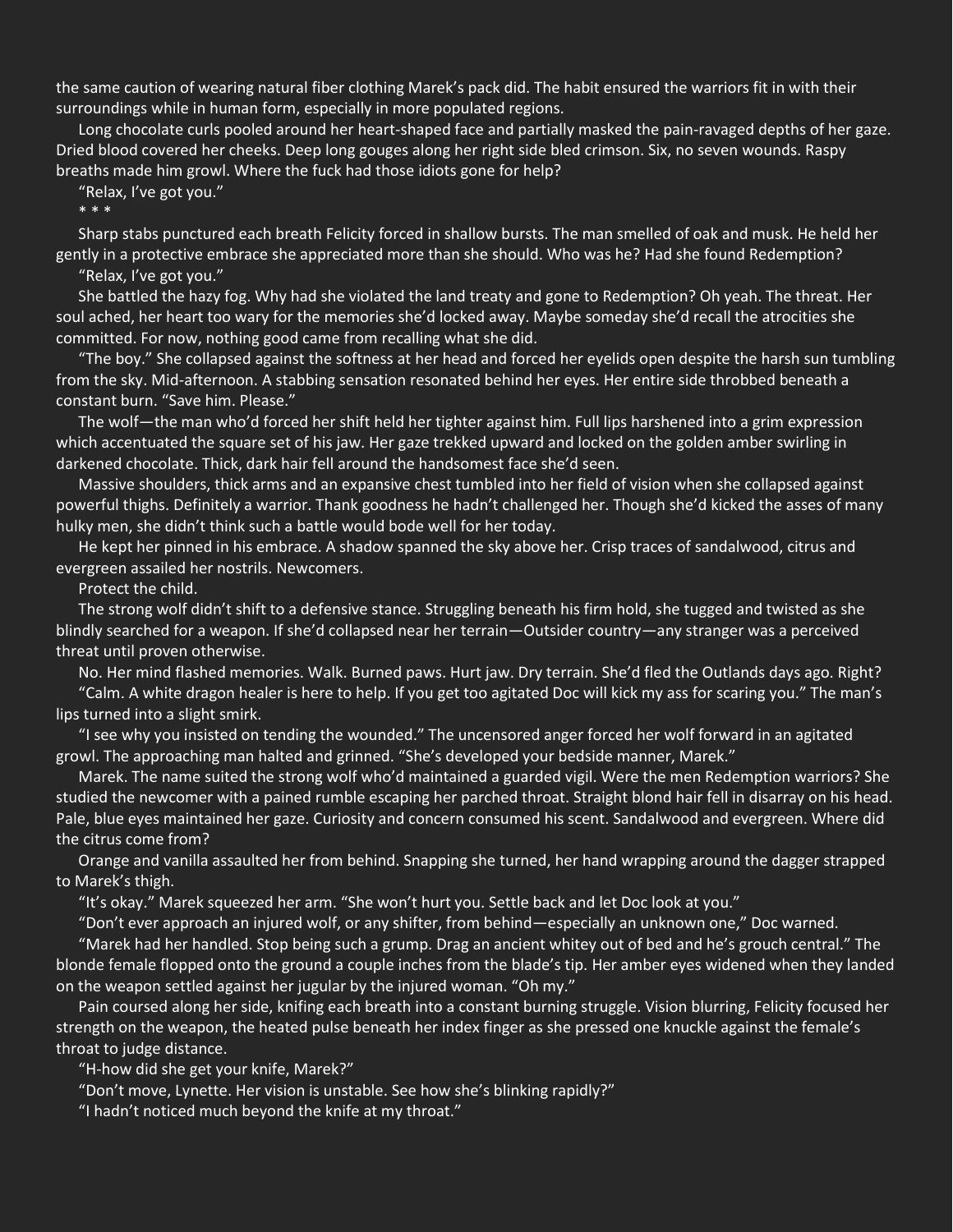the same caution of wearing natural fiber clothing Marek's pack did. The habit ensured the warriors fit in with their surroundings while in human form, especially in more populated regions.

Long chocolate curls pooled around her heart-shaped face and partially masked the pain-ravaged depths of her gaze. Dried blood covered her cheeks. Deep long gouges along her right side bled crimson. Six, no seven wounds. Raspy breaths made him growl. Where the fuck had those idiots gone for help?

"Relax, I've got you."

\* \* \*

Sharp stabs punctured each breath Felicity forced in shallow bursts. The man smelled of oak and musk. He held her gently in a protective embrace she appreciated more than she should. Who was he? Had she found Redemption? "Relax, I've got you."

She battled the hazy fog. Why had she violated the land treaty and gone to Redemption? Oh yeah. The threat. Her soul ached, her heart too wary for the memories she'd locked away. Maybe someday she'd recall the atrocities she

committed. For now, nothing good came from recalling what she did.

"The boy." She collapsed against the softness at her head and forced her eyelids open despite the harsh sun tumbling from the sky. Mid-afternoon. A stabbing sensation resonated behind her eyes. Her entire side throbbed beneath a constant burn. "Save him. Please."

The wolf—the man who'd forced her shift held her tighter against him. Full lips harshened into a grim expression which accentuated the square set of his jaw. Her gaze trekked upward and locked on the golden amber swirling in darkened chocolate. Thick, dark hair fell around the handsomest face she'd seen.

Massive shoulders, thick arms and an expansive chest tumbled into her field of vision when she collapsed against powerful thighs. Definitely a warrior. Thank goodness he hadn't challenged her. Though she'd kicked the asses of many hulky men, she didn't think such a battle would bode well for her today.

He kept her pinned in his embrace. A shadow spanned the sky above her. Crisp traces of sandalwood, citrus and evergreen assailed her nostrils. Newcomers.

Protect the child.

The strong wolf didn't shift to a defensive stance. Struggling beneath his firm hold, she tugged and twisted as she blindly searched for a weapon. If she'd collapsed near her terrain—Outsider country—any stranger was a perceived threat until proven otherwise.

No. Her mind flashed memories. Walk. Burned paws. Hurt jaw. Dry terrain. She'd fled the Outlands days ago. Right?

"Calm. A white dragon healer is here to help. If you get too agitated Doc will kick my ass for scaring you." The man's lips turned into a slight smirk.

"I see why you insisted on tending the wounded." The uncensored anger forced her wolf forward in an agitated growl. The approaching man halted and grinned. "She's developed your bedside manner, Marek."

Marek. The name suited the strong wolf who'd maintained a guarded vigil. Were the men Redemption warriors? She studied the newcomer with a pained rumble escaping her parched throat. Straight blond hair fell in disarray on his head. Pale, blue eyes maintained her gaze. Curiosity and concern consumed his scent. Sandalwood and evergreen. Where did the citrus come from?

Orange and vanilla assaulted her from behind. Snapping she turned, her hand wrapping around the dagger strapped to Marek's thigh.

"It's okay." Marek squeezed her arm. "She won't hurt you. Settle back and let Doc look at you."

"Don't ever approach an injured wolf, or any shifter, from behind—especially an unknown one," Doc warned.

"Marek had her handled. Stop being such a grump. Drag an ancient whitey out of bed and he's grouch central." The blonde female flopped onto the ground a couple inches from the blade's tip. Her amber eyes widened when they landed on the weapon settled against her jugular by the injured woman. "Oh my."

Pain coursed along her side, knifing each breath into a constant burning struggle. Vision blurring, Felicity focused her strength on the weapon, the heated pulse beneath her index finger as she pressed one knuckle against the female's throat to judge distance.

"H-how did she get your knife, Marek?"

"Don't move, Lynette. Her vision is unstable. See how she's blinking rapidly?"

"I hadn't noticed much beyond the knife at my throat."